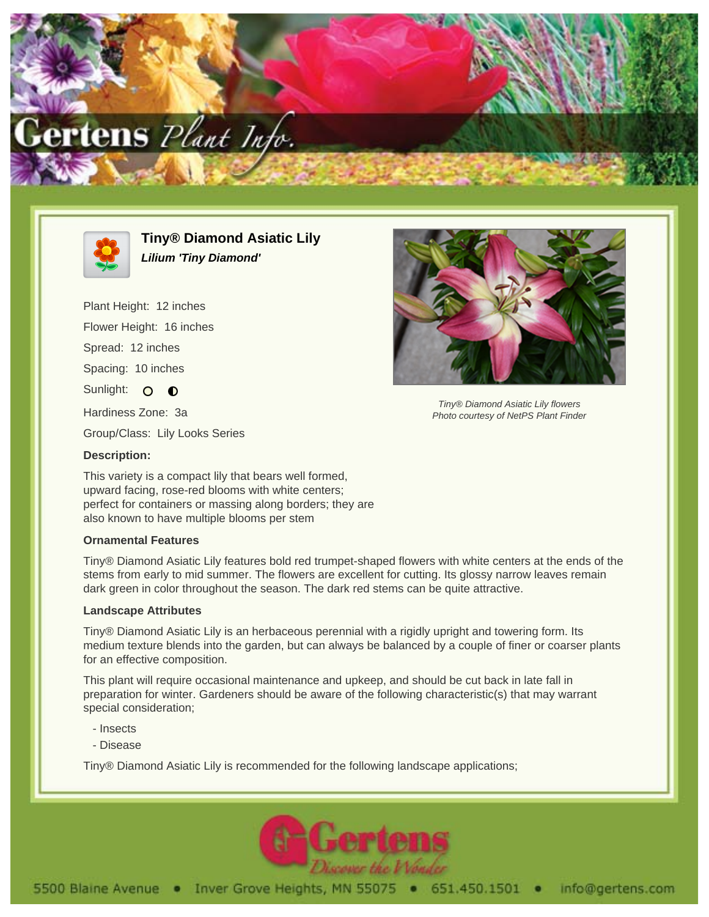



**Tiny® Diamond Asiatic Lily Lilium 'Tiny Diamond'**

Plant Height: 12 inches Flower Height: 16 inches Spread: 12 inches Spacing: 10 inches Sunlight: 0 0 Hardiness Zone: 3a



Tiny® Diamond Asiatic Lily flowers Photo courtesy of NetPS Plant Finder

Group/Class: Lily Looks Series

## **Description:**

This variety is a compact lily that bears well formed, upward facing, rose-red blooms with white centers; perfect for containers or massing along borders; they are also known to have multiple blooms per stem

## **Ornamental Features**

Tiny® Diamond Asiatic Lily features bold red trumpet-shaped flowers with white centers at the ends of the stems from early to mid summer. The flowers are excellent for cutting. Its glossy narrow leaves remain dark green in color throughout the season. The dark red stems can be quite attractive.

## **Landscape Attributes**

Tiny® Diamond Asiatic Lily is an herbaceous perennial with a rigidly upright and towering form. Its medium texture blends into the garden, but can always be balanced by a couple of finer or coarser plants for an effective composition.

This plant will require occasional maintenance and upkeep, and should be cut back in late fall in preparation for winter. Gardeners should be aware of the following characteristic(s) that may warrant special consideration;

- Insects
- Disease

Tiny® Diamond Asiatic Lily is recommended for the following landscape applications;